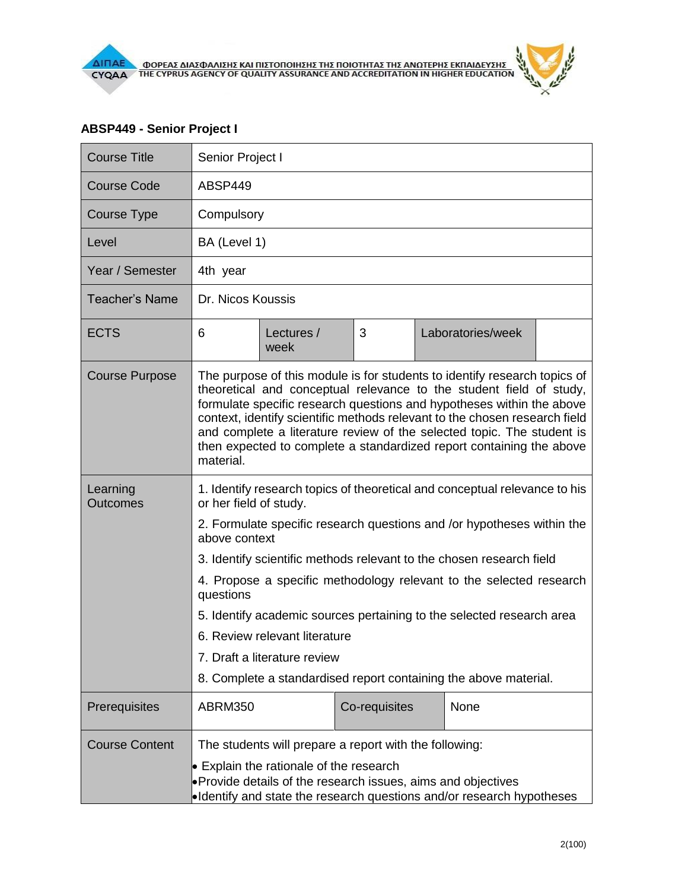## **ABSP449 - Senior Project I**

| <b>Course Title</b>         | Senior Project I                                                                                                                                                                                                                                                                                                                                                                                                                                                       |                    |               |  |                   |  |  |
|-----------------------------|------------------------------------------------------------------------------------------------------------------------------------------------------------------------------------------------------------------------------------------------------------------------------------------------------------------------------------------------------------------------------------------------------------------------------------------------------------------------|--------------------|---------------|--|-------------------|--|--|
| Course Code                 | ABSP449                                                                                                                                                                                                                                                                                                                                                                                                                                                                |                    |               |  |                   |  |  |
| Course Type                 | Compulsory                                                                                                                                                                                                                                                                                                                                                                                                                                                             |                    |               |  |                   |  |  |
| Level                       | BA (Level 1)                                                                                                                                                                                                                                                                                                                                                                                                                                                           |                    |               |  |                   |  |  |
| Year / Semester             | 4th year                                                                                                                                                                                                                                                                                                                                                                                                                                                               |                    |               |  |                   |  |  |
| <b>Teacher's Name</b>       | Dr. Nicos Koussis                                                                                                                                                                                                                                                                                                                                                                                                                                                      |                    |               |  |                   |  |  |
| <b>ECTS</b>                 | 6                                                                                                                                                                                                                                                                                                                                                                                                                                                                      | Lectures /<br>week | 3             |  | Laboratories/week |  |  |
| <b>Course Purpose</b>       | The purpose of this module is for students to identify research topics of<br>theoretical and conceptual relevance to the student field of study,<br>formulate specific research questions and hypotheses within the above<br>context, identify scientific methods relevant to the chosen research field<br>and complete a literature review of the selected topic. The student is<br>then expected to complete a standardized report containing the above<br>material. |                    |               |  |                   |  |  |
| Learning<br><b>Outcomes</b> | 1. Identify research topics of theoretical and conceptual relevance to his<br>or her field of study.<br>2. Formulate specific research questions and /or hypotheses within the<br>above context                                                                                                                                                                                                                                                                        |                    |               |  |                   |  |  |
|                             | 3. Identify scientific methods relevant to the chosen research field                                                                                                                                                                                                                                                                                                                                                                                                   |                    |               |  |                   |  |  |
|                             | 4. Propose a specific methodology relevant to the selected research<br>questions<br>5. Identify academic sources pertaining to the selected research area<br>6. Review relevant literature<br>7. Draft a literature review<br>8. Complete a standardised report containing the above material.                                                                                                                                                                         |                    |               |  |                   |  |  |
|                             |                                                                                                                                                                                                                                                                                                                                                                                                                                                                        |                    |               |  |                   |  |  |
|                             |                                                                                                                                                                                                                                                                                                                                                                                                                                                                        |                    |               |  |                   |  |  |
|                             |                                                                                                                                                                                                                                                                                                                                                                                                                                                                        |                    |               |  |                   |  |  |
|                             |                                                                                                                                                                                                                                                                                                                                                                                                                                                                        |                    |               |  |                   |  |  |
| Prerequisites               | <b>ABRM350</b>                                                                                                                                                                                                                                                                                                                                                                                                                                                         |                    | Co-requisites |  | None              |  |  |
| <b>Course Content</b>       | The students will prepare a report with the following:<br>$\bullet$ Explain the rationale of the research<br>• Provide details of the research issues, aims and objectives<br>•Identify and state the research questions and/or research hypotheses                                                                                                                                                                                                                    |                    |               |  |                   |  |  |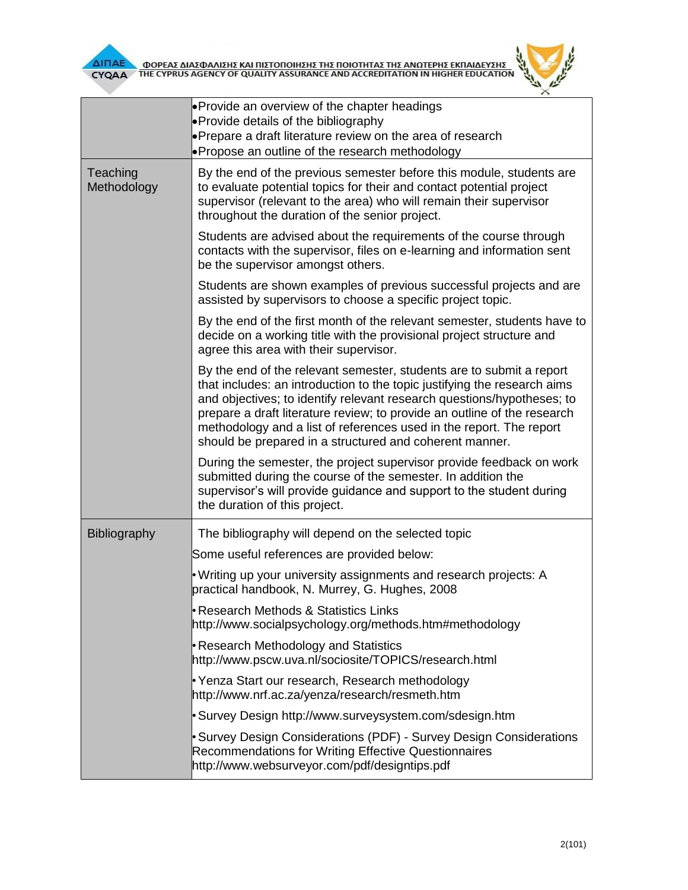

**AITIAE A OOPEAE AIAE DANIERE KAI TIIETOTOIRERE TRE TOIOTRTAE TRE ANOTEPRE EKTIAIAEYERE AND ACCREDITATION IN HIGHER EDUCATION** 



|                         | • Provide an overview of the chapter headings<br>• Provide details of the bibliography                                                                                                                                                                                                                                                                                                                                                   |  |  |  |  |
|-------------------------|------------------------------------------------------------------------------------------------------------------------------------------------------------------------------------------------------------------------------------------------------------------------------------------------------------------------------------------------------------------------------------------------------------------------------------------|--|--|--|--|
|                         | • Prepare a draft literature review on the area of research                                                                                                                                                                                                                                                                                                                                                                              |  |  |  |  |
|                         | • Propose an outline of the research methodology                                                                                                                                                                                                                                                                                                                                                                                         |  |  |  |  |
| Teaching<br>Methodology | By the end of the previous semester before this module, students are<br>to evaluate potential topics for their and contact potential project<br>supervisor (relevant to the area) who will remain their supervisor<br>throughout the duration of the senior project.                                                                                                                                                                     |  |  |  |  |
|                         | Students are advised about the requirements of the course through<br>contacts with the supervisor, files on e-learning and information sent<br>be the supervisor amongst others.                                                                                                                                                                                                                                                         |  |  |  |  |
|                         | Students are shown examples of previous successful projects and are<br>assisted by supervisors to choose a specific project topic.                                                                                                                                                                                                                                                                                                       |  |  |  |  |
|                         | By the end of the first month of the relevant semester, students have to<br>decide on a working title with the provisional project structure and<br>agree this area with their supervisor.                                                                                                                                                                                                                                               |  |  |  |  |
|                         | By the end of the relevant semester, students are to submit a report<br>that includes: an introduction to the topic justifying the research aims<br>and objectives; to identify relevant research questions/hypotheses; to<br>prepare a draft literature review; to provide an outline of the research<br>methodology and a list of references used in the report. The report<br>should be prepared in a structured and coherent manner. |  |  |  |  |
|                         | During the semester, the project supervisor provide feedback on work<br>submitted during the course of the semester. In addition the<br>supervisor's will provide guidance and support to the student during<br>the duration of this project.                                                                                                                                                                                            |  |  |  |  |
| Bibliography            | The bibliography will depend on the selected topic                                                                                                                                                                                                                                                                                                                                                                                       |  |  |  |  |
|                         | Some useful references are provided below:                                                                                                                                                                                                                                                                                                                                                                                               |  |  |  |  |
|                         | • Writing up your university assignments and research projects: A<br>practical handbook, N. Murrey, G. Hughes, 2008                                                                                                                                                                                                                                                                                                                      |  |  |  |  |
|                         | Research Methods & Statistics Links<br>http://www.socialpsychology.org/methods.htm#methodology                                                                                                                                                                                                                                                                                                                                           |  |  |  |  |
|                         | Research Methodology and Statistics<br>http://www.pscw.uva.nl/sociosite/TOPICS/research.html                                                                                                                                                                                                                                                                                                                                             |  |  |  |  |
|                         | Yenza Start our research, Research methodology<br>http://www.nrf.ac.za/yenza/research/resmeth.htm                                                                                                                                                                                                                                                                                                                                        |  |  |  |  |
|                         | Survey Design http://www.surveysystem.com/sdesign.htm \,                                                                                                                                                                                                                                                                                                                                                                                 |  |  |  |  |
|                         | • Survey Design Considerations (PDF) - Survey Design Considerations<br>Recommendations for Writing Effective Questionnaires<br>http://www.websurveyor.com/pdf/designtips.pdf                                                                                                                                                                                                                                                             |  |  |  |  |